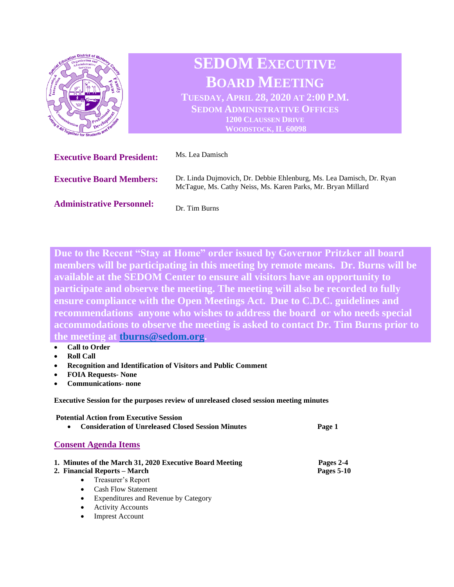

**Due to the Recent "Stay at Home" order issued by Governor Pritzker all board members will be participating in this meeting by remote means. Dr. Burns will be available at the SEDOM Center to ensure all visitors have an opportunity to participate and observe the meeting. The meeting will also be recorded to fully ensure compliance with the Open Meetings Act. Due to C.D.C. guidelines and recommendations anyone who wishes to address the board or who needs special accommodations to observe the meeting is asked to contact Dr. Tim Burns prior to the meeting at [tburns@sedom.org.](mailto:tburns@sedom.org)** 

- **Call to Order**
- **Roll Call**
- **Recognition and Identification of Visitors and Public Comment**
- **FOIA Requests- None**
- **Communications- none**

**Executive Session for the purposes review of unreleased closed session meeting minutes**

| <b>Potential Action from Executive Session</b><br><b>Consideration of Unreleased Closed Session Minutes</b><br>$\bullet$ | Page 1                         |
|--------------------------------------------------------------------------------------------------------------------------|--------------------------------|
| <b>Consent Agenda Items</b>                                                                                              |                                |
| 1. Minutes of the March 31, 2020 Executive Board Meeting<br>2. Financial Reports – March                                 | Pages 2-4<br><b>Pages 5-10</b> |
| Treasurer's Report<br>$\bullet$                                                                                          |                                |
| <b>Cash Flow Statement</b><br>$\bullet$                                                                                  |                                |
| Expenditures and Revenue by Category<br>٠                                                                                |                                |
| <b>Activity Accounts</b><br>٠                                                                                            |                                |

**Imprest Account**